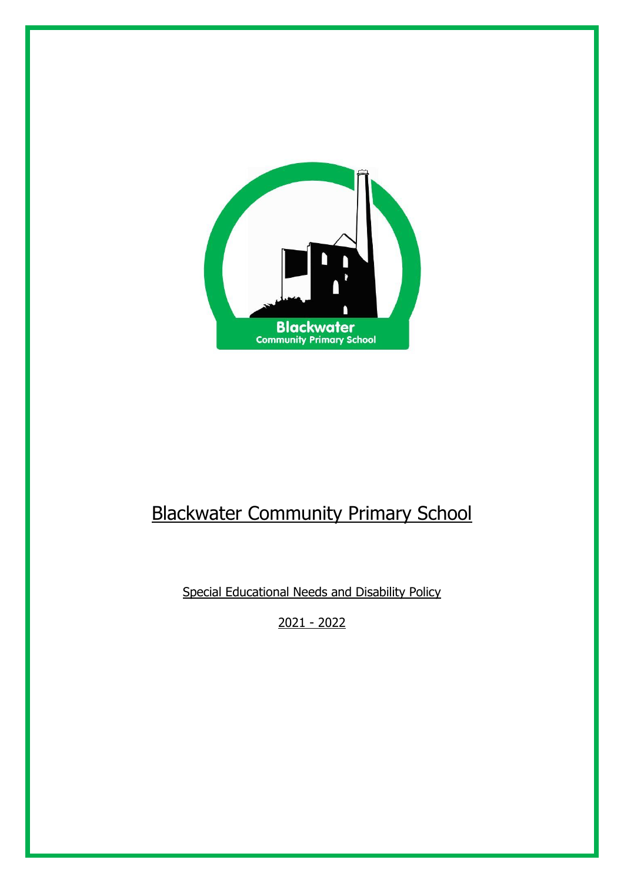

# Blackwater Community Primary School

Special Educational Needs and Disability Policy

2021 - 2022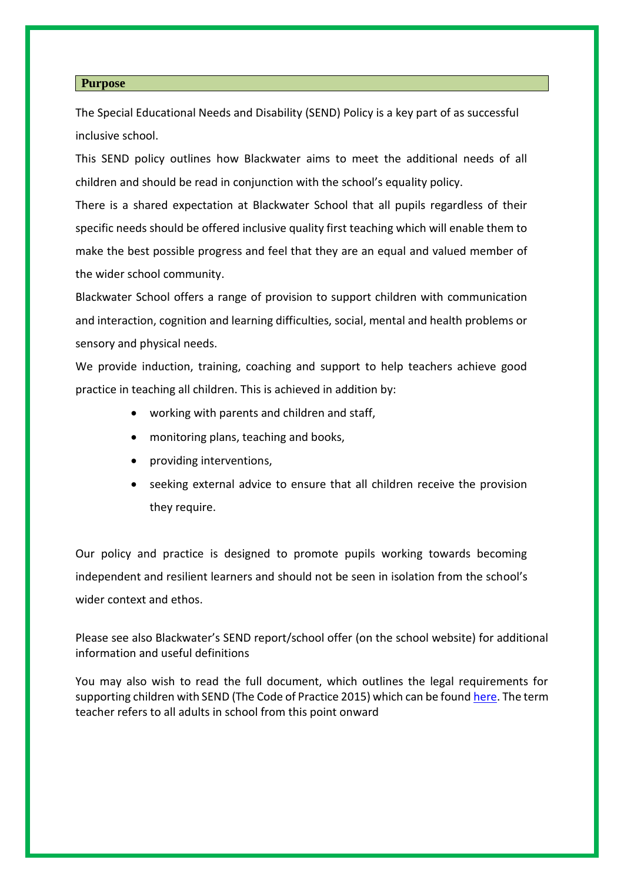#### **Purpose**

The Special Educational Needs and Disability (SEND) Policy is a key part of as successful inclusive school.

This SEND policy outlines how Blackwater aims to meet the additional needs of all children and should be read in conjunction with the school's equality policy.

There is a shared expectation at Blackwater School that all pupils regardless of their specific needs should be offered inclusive quality first teaching which will enable them to make the best possible progress and feel that they are an equal and valued member of the wider school community.

Blackwater School offers a range of provision to support children with communication and interaction, cognition and learning difficulties, social, mental and health problems or sensory and physical needs.

We provide induction, training, coaching and support to help teachers achieve good practice in teaching all children. This is achieved in addition by:

- working with parents and children and staff,
- monitoring plans, teaching and books,
- providing interventions,
- seeking external advice to ensure that all children receive the provision they require.

Our policy and practice is designed to promote pupils working towards becoming independent and resilient learners and should not be seen in isolation from the school's wider context and ethos.

Please see also Blackwater's SEND report/school offer (on the school website) for additional information and useful definitions

You may also wish to read the full document, which outlines the legal requirements for supporting children with SEND (The Code of Practice 2015) which can be foun[d here.](https://www.gov.uk/government/uploads/system/uploads/attachment_data/file/398815/SEND_Code_of_Practice_January_2015.pdf) The term teacher refers to all adults in school from this point onward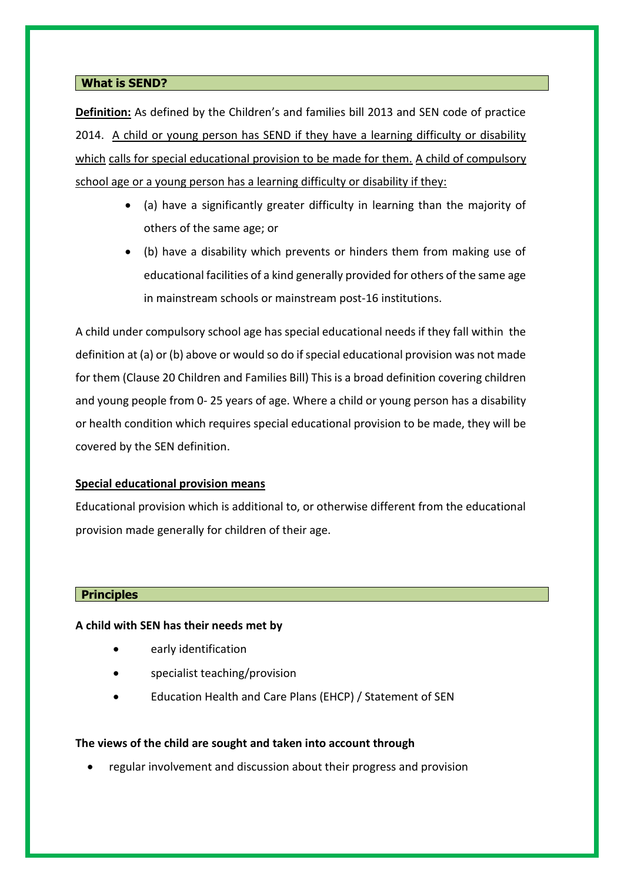# **What is SEND?**

**Definition:** As defined by the Children's and families bill 2013 and SEN code of practice 2014. A child or young person has SEND if they have a learning difficulty or disability which calls for special educational provision to be made for them. A child of compulsory school age or a young person has a learning difficulty or disability if they:

- (a) have a significantly greater difficulty in learning than the majority of others of the same age; or
- (b) have a disability which prevents or hinders them from making use of educational facilities of a kind generally provided for others of the same age in mainstream schools or mainstream post-16 institutions.

A child under compulsory school age has special educational needs if they fall within the definition at (a) or (b) above or would so do if special educational provision was not made for them (Clause 20 Children and Families Bill) This is a broad definition covering children and young people from 0- 25 years of age. Where a child or young person has a disability or health condition which requires special educational provision to be made, they will be covered by the SEN definition.

#### **Special educational provision means**

Educational provision which is additional to, or otherwise different from the educational provision made generally for children of their age.

#### **Principles**

#### **A child with SEN has their needs met by**

- early identification
- specialist teaching/provision
- Education Health and Care Plans (EHCP) / Statement of SEN

#### **The views of the child are sought and taken into account through**

regular involvement and discussion about their progress and provision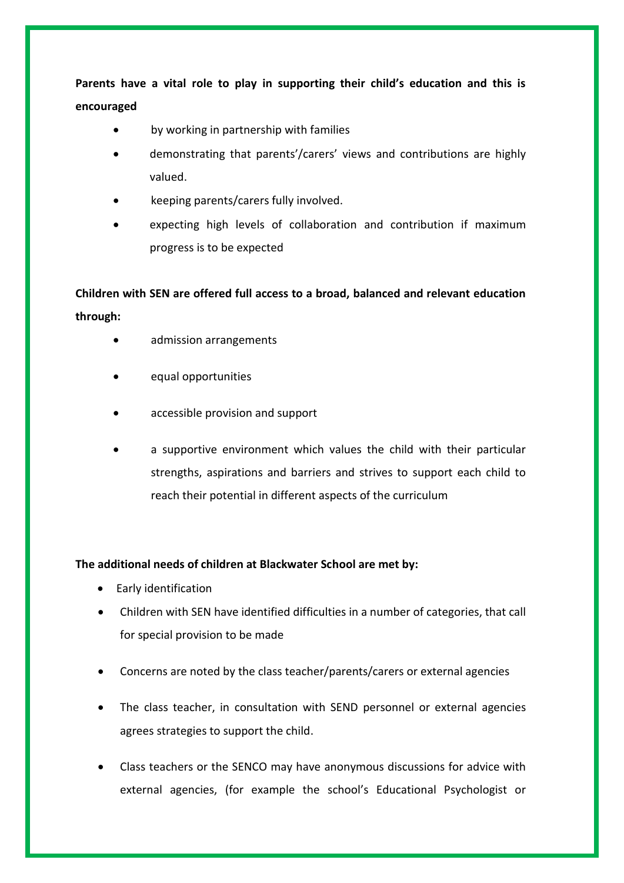**Parents have a vital role to play in supporting their child's education and this is encouraged**

- by working in partnership with families
- demonstrating that parents'/carers' views and contributions are highly valued.
- keeping parents/carers fully involved.
- expecting high levels of collaboration and contribution if maximum progress is to be expected

**Children with SEN are offered full access to a broad, balanced and relevant education through:**

- admission arrangements
- equal opportunities
- accessible provision and support
- a supportive environment which values the child with their particular strengths, aspirations and barriers and strives to support each child to reach their potential in different aspects of the curriculum

# **The additional needs of children at Blackwater School are met by:**

- Early identification
- Children with SEN have identified difficulties in a number of categories, that call for special provision to be made
- Concerns are noted by the class teacher/parents/carers or external agencies
- The class teacher, in consultation with SEND personnel or external agencies agrees strategies to support the child.
- Class teachers or the SENCO may have anonymous discussions for advice with external agencies, (for example the school's Educational Psychologist or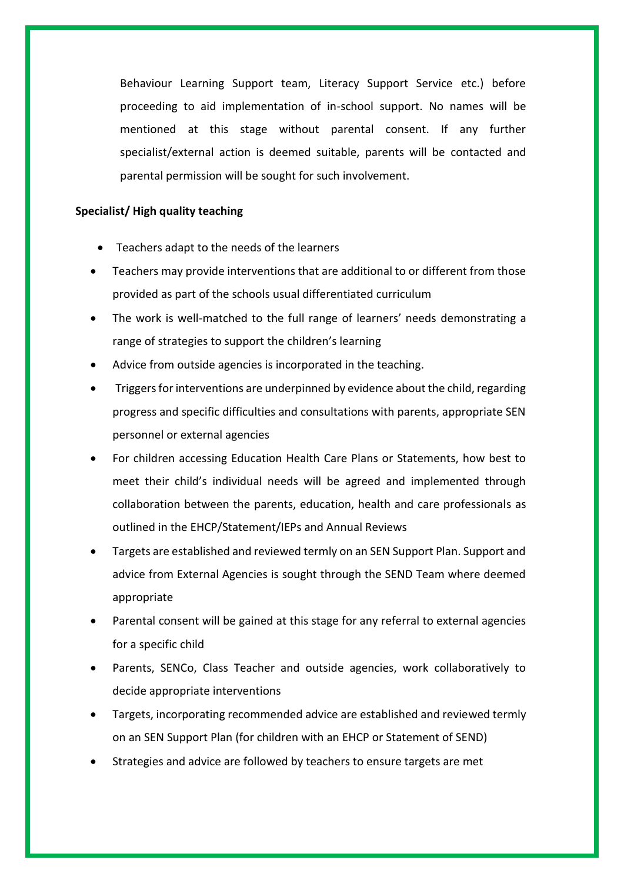Behaviour Learning Support team, Literacy Support Service etc.) before proceeding to aid implementation of in-school support. No names will be mentioned at this stage without parental consent. If any further specialist/external action is deemed suitable, parents will be contacted and parental permission will be sought for such involvement.

#### **Specialist/ High quality teaching**

- Teachers adapt to the needs of the learners
- Teachers may provide interventions that are additional to or different from those provided as part of the schools usual differentiated curriculum
- The work is well-matched to the full range of learners' needs demonstrating a range of strategies to support the children's learning
- Advice from outside agencies is incorporated in the teaching.
- Triggers for interventions are underpinned by evidence about the child, regarding progress and specific difficulties and consultations with parents, appropriate SEN personnel or external agencies
- For children accessing Education Health Care Plans or Statements, how best to meet their child's individual needs will be agreed and implemented through collaboration between the parents, education, health and care professionals as outlined in the EHCP/Statement/IEPs and Annual Reviews
- Targets are established and reviewed termly on an SEN Support Plan. Support and advice from External Agencies is sought through the SEND Team where deemed appropriate
- Parental consent will be gained at this stage for any referral to external agencies for a specific child
- Parents, SENCo, Class Teacher and outside agencies, work collaboratively to decide appropriate interventions
- Targets, incorporating recommended advice are established and reviewed termly on an SEN Support Plan (for children with an EHCP or Statement of SEND)
- Strategies and advice are followed by teachers to ensure targets are met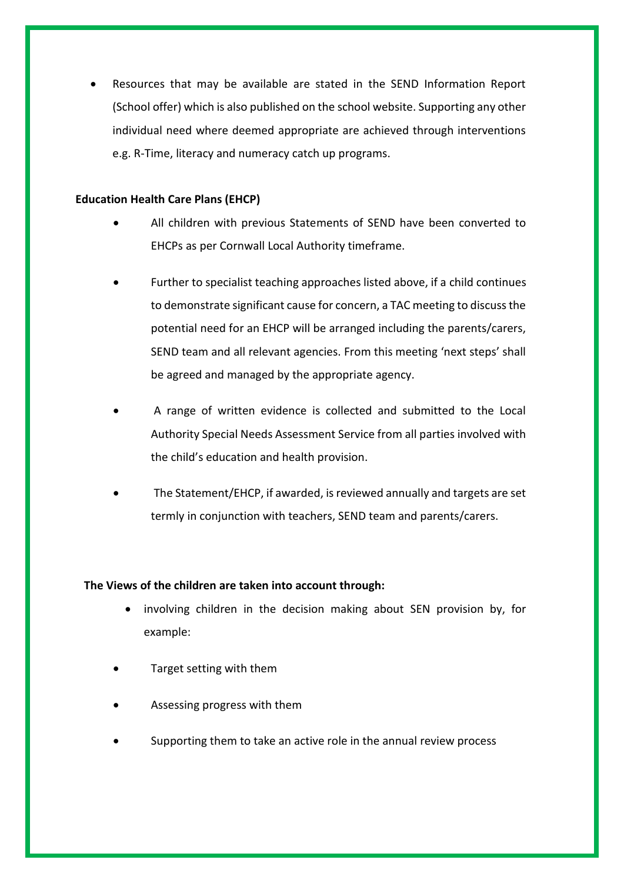Resources that may be available are stated in the SEND Information Report (School offer) which is also published on the school website. Supporting any other individual need where deemed appropriate are achieved through interventions e.g. R-Time, literacy and numeracy catch up programs.

# **Education Health Care Plans (EHCP)**

- All children with previous Statements of SEND have been converted to EHCPs as per Cornwall Local Authority timeframe.
- Further to specialist teaching approaches listed above, if a child continues to demonstrate significant cause for concern, a TAC meeting to discuss the potential need for an EHCP will be arranged including the parents/carers, SEND team and all relevant agencies. From this meeting 'next steps' shall be agreed and managed by the appropriate agency.
- A range of written evidence is collected and submitted to the Local Authority Special Needs Assessment Service from all parties involved with the child's education and health provision.
- The Statement/EHCP, if awarded, is reviewed annually and targets are set termly in conjunction with teachers, SEND team and parents/carers.

# **The Views of the children are taken into account through:**

- involving children in the decision making about SEN provision by, for example:
- Target setting with them
- Assessing progress with them
- Supporting them to take an active role in the annual review process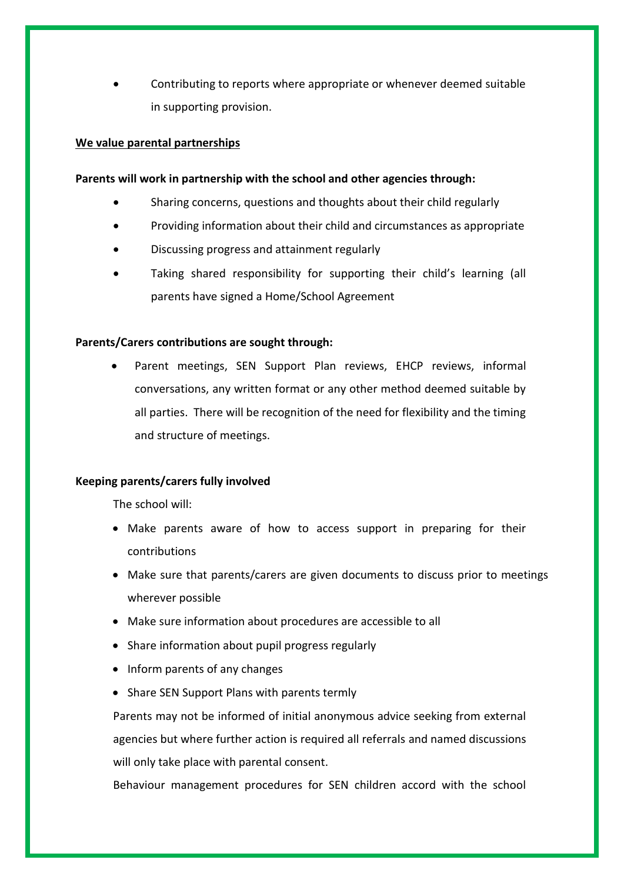Contributing to reports where appropriate or whenever deemed suitable in supporting provision.

#### **We value parental partnerships**

#### **Parents will work in partnership with the school and other agencies through:**

- Sharing concerns, questions and thoughts about their child regularly
- Providing information about their child and circumstances as appropriate
- Discussing progress and attainment regularly
- Taking shared responsibility for supporting their child's learning (all parents have signed a Home/School Agreement

# **Parents/Carers contributions are sought through:**

 Parent meetings, SEN Support Plan reviews, EHCP reviews, informal conversations, any written format or any other method deemed suitable by all parties. There will be recognition of the need for flexibility and the timing and structure of meetings.

# **Keeping parents/carers fully involved**

The school will:

- Make parents aware of how to access support in preparing for their contributions
- Make sure that parents/carers are given documents to discuss prior to meetings wherever possible
- Make sure information about procedures are accessible to all
- Share information about pupil progress regularly
- Inform parents of any changes
- Share SEN Support Plans with parents termly

Parents may not be informed of initial anonymous advice seeking from external agencies but where further action is required all referrals and named discussions will only take place with parental consent.

Behaviour management procedures for SEN children accord with the school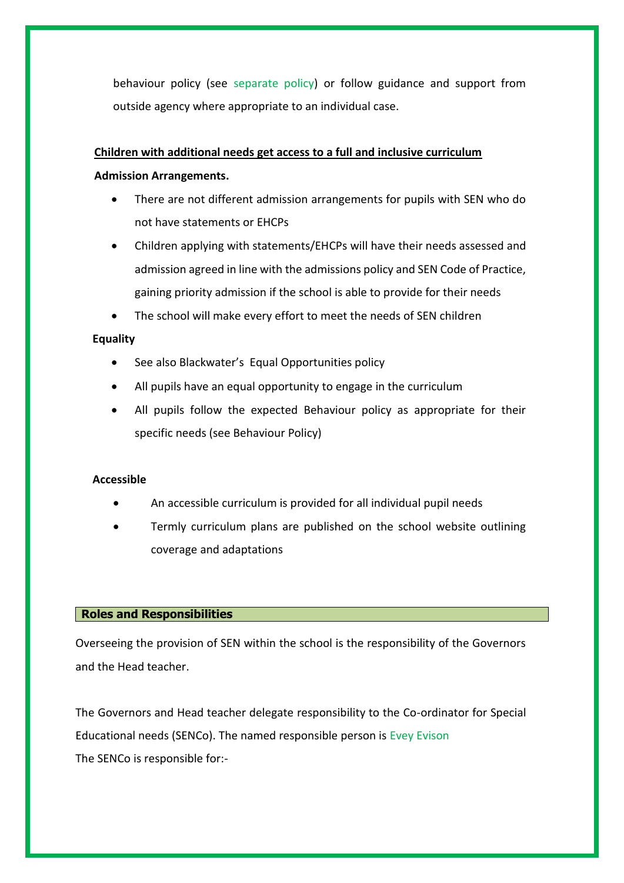behaviour policy (see separate policy) or follow guidance and support from outside agency where appropriate to an individual case.

# **Children with additional needs get access to a full and inclusive curriculum**

# **Admission Arrangements.**

- There are not different admission arrangements for pupils with SEN who do not have statements or EHCPs
- Children applying with statements/EHCPs will have their needs assessed and admission agreed in line with the admissions policy and SEN Code of Practice, gaining priority admission if the school is able to provide for their needs
- The school will make every effort to meet the needs of SEN children

# **Equality**

- See also Blackwater's Equal Opportunities policy
- All pupils have an equal opportunity to engage in the curriculum
- All pupils follow the expected Behaviour policy as appropriate for their specific needs (see Behaviour Policy)

#### **Accessible**

- An accessible curriculum is provided for all individual pupil needs
- Termly curriculum plans are published on the school website outlining coverage and adaptations

#### **Roles and Responsibilities**

Overseeing the provision of SEN within the school is the responsibility of the Governors and the Head teacher.

The Governors and Head teacher delegate responsibility to the Co-ordinator for Special Educational needs (SENCo). The named responsible person is Evey Evison The SENCo is responsible for:-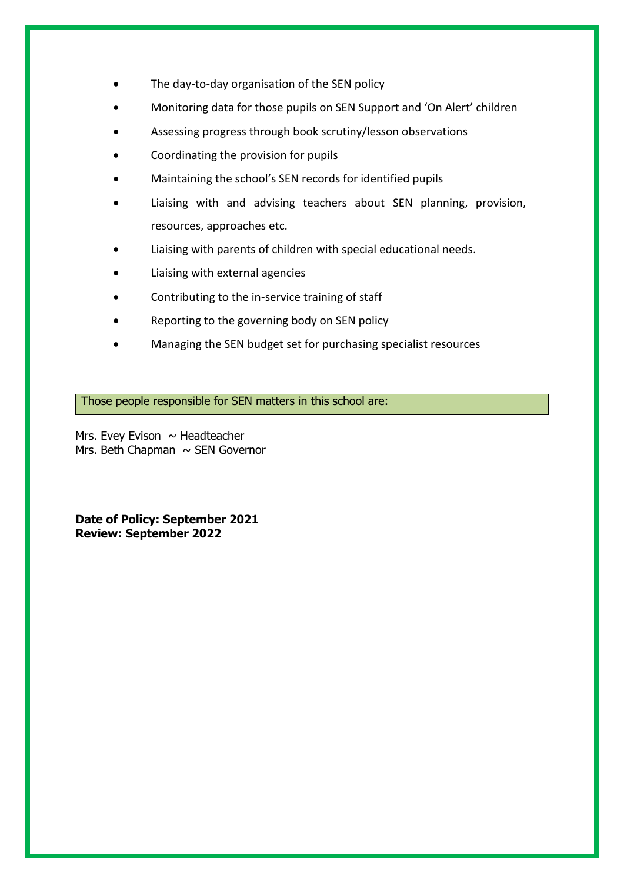- The day-to-day organisation of the SEN policy
- Monitoring data for those pupils on SEN Support and 'On Alert' children
- Assessing progress through book scrutiny/lesson observations
- Coordinating the provision for pupils
- Maintaining the school's SEN records for identified pupils
- Liaising with and advising teachers about SEN planning, provision, resources, approaches etc.
- Liaising with parents of children with special educational needs.
- Liaising with external agencies
- Contributing to the in-service training of staff
- Reporting to the governing body on SEN policy
- Managing the SEN budget set for purchasing specialist resources

Those people responsible for SEN matters in this school are:

Mrs. Evey Evison  $\sim$  Headteacher Mrs. Beth Chapman  $\sim$  SEN Governor

**Date of Policy: September 2021 Review: September 2022**